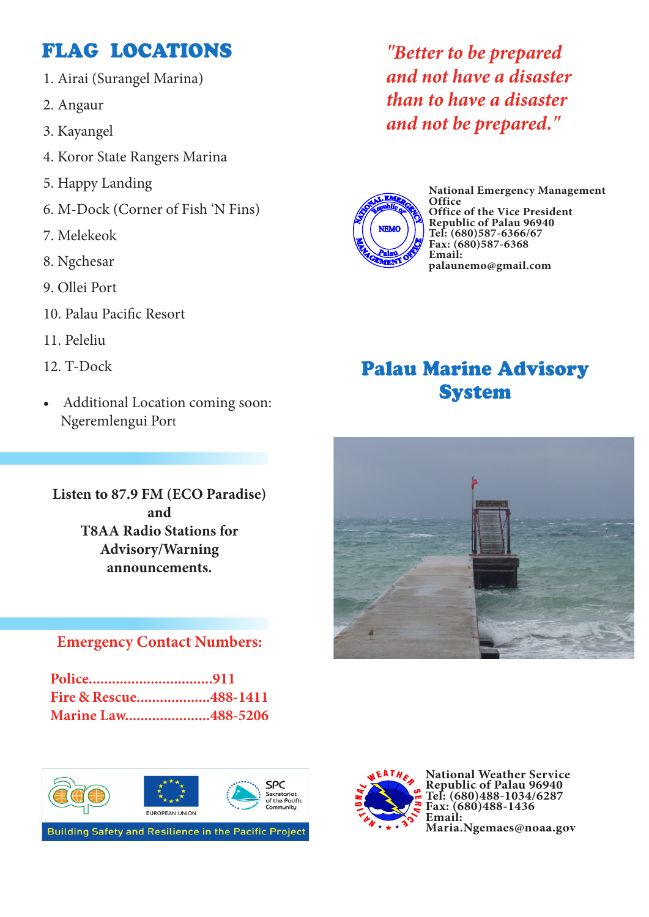## FLAG LOCATIONS

- 1. Airai (Surangel Marina)
- 2. Angaur
- 3. Kayangel
- 4. Koror State Rangers Marina
- 5. Happy Landing
- 6. M-Dock (Corner of Fish 'N Fins)
- 7. Melekeok
- 8. Ngchesar
- 9. Ollei Port
- 10. Palau Pacific Resort
- 11. Peleliu
- 12. T-Dock
- Additional Location coming soon: Ngeremlengui Port

**Listen to 87.9 FM (ECO Paradise) and T8AA Radio Stations for Advisory/Warning announcements.**

#### **Emergency Contact Numbers:**

| Fire & Rescue488-1411 |  |  |
|-----------------------|--|--|
| Marine Law488-5206    |  |  |





**National Weather Service Republic of Palau 96940 Tel: (680)488-1034/6287 Fax: (680)488-1436 Email: Maria.Ngemaes@noaa.gov**

*"Better to be prepared and not have a disaster than to have a disaster and not be prepared."*



**National Emergency Management Office Office of the Vice President Republic of Palau 96940 Tel: (680)587-6366/67 Fax: (680)587-6368 Email: palaunemo@gmail.com**

# Palau Marine Advisory System